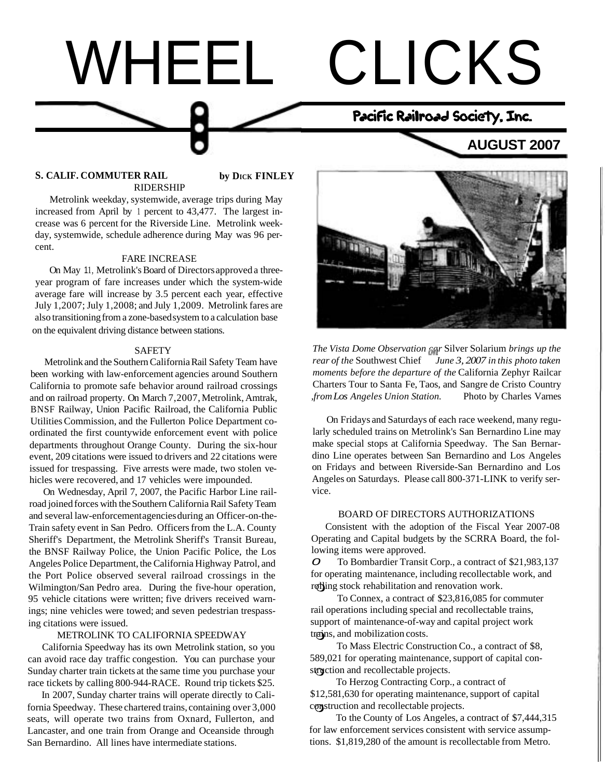# WHEEL CLICKS **AUGUST 2007**  Pacific Railroad Society, Inc.

#### **S. CALIF. COMMUTER RAIL by DICK FINLEY** RIDERSHIP

Metrolink weekday, systemwide, average trips during May increased from April by 1 percent to 43,477. The largest increase was 6 percent for the Riverside Line. Metrolink weekday, systemwide, schedule adherence during May was 96 percent.

#### FARE INCREASE

On May 11, Metrolink's Board of Directors approved a threeyear program of fare increases under which the system-wide average fare will increase by 3.5 percent each year, effective July 1,2007; July 1,2008; and July 1,2009. Metrolink fares are also transitioning from a zone-based system to a calculation base on the equivalent driving distance between stations.

#### SAFETY

Metrolink and the Southern California Rail Safety Team have been working with law-enforcement agencies around Southern California to promote safe behavior around railroad crossings and on railroad property. On March 7,2007, Metrolink, Amtrak, BNSF Railway, Union Pacific Railroad, the California Public Utilities Commission, and the Fullerton Police Department coordinated the first countywide enforcement event with police departments throughout Orange County. During the six-hour event, 209 citations were issued to drivers and 22 citations were issued for trespassing. Five arrests were made, two stolen vehicles were recovered, and 17 vehicles were impounded.

On Wednesday, April 7, 2007, the Pacific Harbor Line railroad joined forces with the Southern California Rail Safety Team and several law-enforcement agencies during an Officer-on-the-Train safety event in San Pedro. Officers from the L.A. County Sheriff's Department, the Metrolink Sheriff's Transit Bureau, the BNSF Railway Police, the Union Pacific Police, the Los Angeles Police Department, the California Highway Patrol, and the Port Police observed several railroad crossings in the Wilmington/San Pedro area. During the five-hour operation, 95 vehicle citations were written; five drivers received warnings; nine vehicles were towed; and seven pedestrian trespassing citations were issued.

#### METROLINK TO CALIFORNIA SPEEDWAY

California Speedway has its own Metrolink station, so you can avoid race day traffic congestion. You can purchase your Sunday charter train tickets at the same time you purchase your race tickets by calling 800-944-RACE. Round trip tickets \$25.

In 2007, Sunday charter trains will operate directly to California Speedway. These chartered trains, containing over 3,000 seats, will operate two trains from Oxnard, Fullerton, and Lancaster, and one train from Orange and Oceanside through San Bernardino. All lines have intermediate stations.



*The Vista Dome Observation car* Silver Solarium *brings up the rear of the* Southwest Chief *June 3, 2007 in this photo taken moments before the departure of the* California Zephyr Railcar Charters Tour to Santa Fe, Taos, and Sangre de Cristo Country *,from Los Angeles Union Station.* Photo by Charles Varnes

On Fridays and Saturdays of each race weekend, many regularly scheduled trains on Metrolink's San Bernardino Line may make special stops at California Speedway. The San Bernardino Line operates between San Bernardino and Los Angeles on Fridays and between Riverside-San Bernardino and Los Angeles on Saturdays. Please call 800-371-LINK to verify service.

#### BOARD OF DIRECTORS AUTHORIZATIONS

Consistent with the adoption of the Fiscal Year 2007-08 Operating and Capital budgets by the SCRRA Board, the following items were approved.

0 To Bombardier Transit Corp., a contract of \$21,983,137 for operating maintenance, including recollectable work, and rolling stock rehabilitation and renovation work.

To Connex, a contract of \$23,816,085 for commuter rail operations including special and recollectable trains, support of maintenance-of-way and capital project work trains, and mobilization costs.

To Mass Electric Construction Co., a contract of \$8, 589,021 for operating maintenance, support of capital construction and recollectable projects.

To Herzog Contracting Corp., a contract of \$12,581,630 for operating maintenance, support of capital construction and recollectable projects.

To the County of Los Angeles, a contract of \$7,444,315 for law enforcement services consistent with service assumptions. \$1,819,280 of the amount is recollectable from Metro.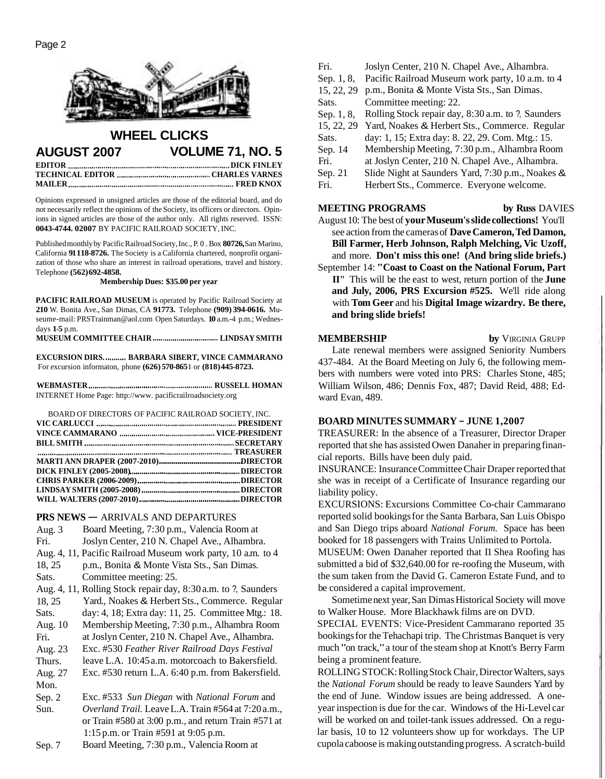

# **WHEEL CLICKS AUGUST 2007 VOLUME 71, NO. 5 EDITOR BEDITOR DICK FINLEY**

**TECHNICAL EDITOR CHARLES VARNES MAILER FRED KNOX** 

Opinions expressed in unsigned articles are those of the editorial board, and do not necessarily reflect the opinions of the Society, its officers or directors. Opinions in signed articles are those of the author only. All rights reserved. ISSN: **0043-4744. 02007** BY PACIFIC RAILROAD SOCIETY, INC.

Published monthly by Pacific Railroad Society, Inc., P. 0. Box **80726,** San Marino, California **91 118-8726.** The Society is a California chartered, nonprofit organization of those who share an interest in railroad operations, travel and history. Telephone **(562) 692-4858.** 

**Membership Dues: \$35.00 per year** 

**PACIFIC RAILROAD MUSEUM** is operated by Pacific Railroad Society at **210** W. Bonita Ave., San Dimas, CA **91773.** Telephone **(909) 394-0616.** Museume-mail: PRSTrainman@aol.com Open Saturdays. **10** a.m.-4 p.m.; Wednesdays **1-5** p.m.

**MUSEUM COMMITTEE CHAIR LINDSAY SMITH** 

**EXCURSION DIRS. .......... BARBARA SIBERT, VINCE CAMMARANO** For excursion informaton, phone **(626) 570-865 1** or **(818) 445-8723.** 

**WEBMASTER RUSSELL HOMAN**  INTERNET Home Page: http://www. pacificrailroadsociety.org

| BOARD OF DIRECTORS OF PACIFIC RAILROAD SOCIETY. INC. |  |
|------------------------------------------------------|--|
|                                                      |  |
|                                                      |  |
|                                                      |  |
|                                                      |  |
|                                                      |  |
|                                                      |  |

**PRS NEWS — ARRIVALS AND DEPARTURES** 

| Aug. 3  | Board Meeting, 7:30 p.m., Valencia Room at                                        |  |  |  |  |
|---------|-----------------------------------------------------------------------------------|--|--|--|--|
| Fri.    | Joslyn Center, 210 N. Chapel Ave., Alhambra.                                      |  |  |  |  |
|         | Aug. 4, 11, Pacific Railroad Museum work party, 10 a.m. to 4                      |  |  |  |  |
| 18, 25  | p.m., Bonita & Monte Vista Sts., San Dimas.                                       |  |  |  |  |
| Sats.   | Committee meeting: 25.                                                            |  |  |  |  |
|         | Aug. 4, 11, Rolling Stock repair day, 8:30 a.m. to ?, Saunders                    |  |  |  |  |
| 18, 25  | Yard., Noakes & Herbert Sts., Commerce. Regular                                   |  |  |  |  |
| Sats.   | day: 4, 18; Extra day: 11, 25. Committee Mtg.: 18.                                |  |  |  |  |
| Aug. 10 | Membership Meeting, 7:30 p.m., Alhambra Room                                      |  |  |  |  |
| Fri.    | at Joslyn Center, 210 N. Chapel Ave., Alhambra.                                   |  |  |  |  |
| Aug. 23 | Exc. #530 Feather River Railroad Days Festival                                    |  |  |  |  |
| Thurs.  | leave L.A. 10:45 a.m. motorcoach to Bakersfield.                                  |  |  |  |  |
| Aug. 27 | Exc. #530 return L.A. 6:40 p.m. from Bakersfield.                                 |  |  |  |  |
| Mon.    |                                                                                   |  |  |  |  |
| Sep. 2  | Exc. #533 Sun Diegan with National Forum and                                      |  |  |  |  |
| Sun.    | Overland Trail. Leave L.A. Train #564 at 7:20 a.m.,                               |  |  |  |  |
|         | or Train $#580$ at 3:00 p.m., and return Train $#571$ at                          |  |  |  |  |
|         | 1:15 p.m. or Train $#591$ at 9:05 p.m.                                            |  |  |  |  |
|         | $D_{\text{total}}M_{\text{total}} = 7.20 \ldots M_{\text{total}}D_{\text{total}}$ |  |  |  |  |

Sep. 7 Board Meeting, 7:30 p.m., Valencia Room at

Fri. Sep. 1, 8, 15, 22, 29 p.m., Bonita & Monte Vista Sts., San Dimas. Sats. Sep. 1, 8, 15, 22, 29 Yard, Noakes & Herbert Sts., Commerce. Regular Sats. Sep. 14 Fri. Sep. 21 Fri. Joslyn Center, 210 N. Chapel Ave., Alhambra. Pacific Railroad Museum work party, 10 a.m. to 4 Committee meeting: 22. Rolling Stock repair day, 8:30 a.m. to ?, Saunders day: 1, 15; Extra day: 8. 22, 29. Com. Mtg.: 15. Membership Meeting, 7:30 p.m., Alhambra Room at Joslyn Center, 210 N. Chapel Ave., Alhambra. Slide Night at Saunders Yard, 7:30 p.m., Noakes & Herbert Sts., Commerce. Everyone welcome.

#### **MEETING PROGRAMS** by Russ DAVIES

August 10: The best of **your Museum's slide collections!** You'll see action from the cameras of **Dave Cameron, Ted Damon, Bill Farmer, Herb Johnson, Ralph Melching, Vic Uzoff,**  and more. **Don't miss this one! (And bring slide briefs.)** 

September 14: **"Coast to Coast on the National Forum, Part II"** This will be the east to west, return portion of the **June and July, 2006, PRS Excursion #525.** We'll ride along with **Tom Geer** and his **Digital Image wizardry. Be there, and bring slide briefs!** 

#### **MEMBERSHIP** by **VIRGINIA GRUPP**

Late renewal members were assigned Seniority Numbers 437-484. At the Board Meeting on July 6, the following members with numbers were voted into PRS: Charles Stone, 485; William Wilson, 486; Dennis Fox, 487; David Reid, 488; Edward Evan, 489.

## **BOARD MINUTES SUMMARY** - **JUNE 1,2007**

TREASURER: In the absence of a Treasurer, Director Draper reported that she has assisted Owen Danaher in preparing financial reports. Bills have been duly paid.

INSURANCE: Insurance Committee Chair Draper reported that she was in receipt of a Certificate of Insurance regarding our liability policy.

EXCURSIONS: Excursions Committee Co-chair Cammarano reported solid bookings for the Santa Barbara, San Luis Obispo and San Diego trips aboard *National Forum.* Space has been booked for 18 passengers with Trains Unlimited to Portola.

MUSEUM: Owen Danaher reported that I1 Shea Roofing has submitted a bid of \$32,640.00 for re-roofing the Museum, with the sum taken from the David G. Cameron Estate Fund, and to be considered a capital improvement.

Sometime next year, San Dimas Historical Society will move to Walker House. More Blackhawk films are on DVD.

SPECIAL EVENTS: Vice-President Cammarano reported 35 bookings for the Tehachapi trip. The Christmas Banquet is very much "on track," a tour of the steam shop at Knott's Berry Farm being a prominent feature.

ROLLING STOCK: Rolling Stock Chair, Director Walters, says the *National Forum* should be ready to leave Saunders Yard by the end of June. Window issues are being addressed. A oneyear inspection is due for the car. Windows of the Hi-Level car will be worked on and toilet-tank issues addressed. On a regular basis, 10 to 12 volunteers show up for workdays. The UP cupola caboose is making outstanding progress. A scratch-build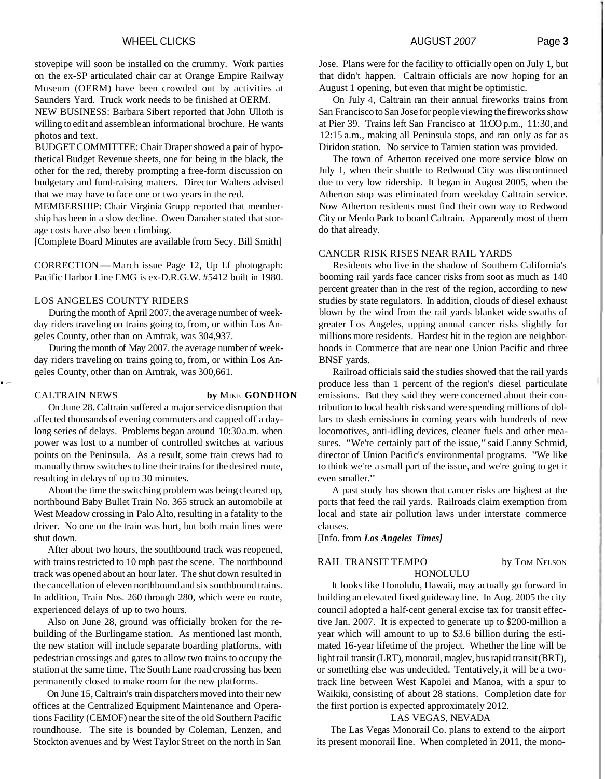#### WHEEL CLICKS **AUGUST 2007** Page 3

stovepipe will soon be installed on the crummy. Work parties on the ex-SP articulated chair car at Orange Empire Railway Museum (OERM) have been crowded out by activities at Saunders Yard. Truck work needs to be finished at OERM.

NEW BUSINESS: Barbara Sibert reported that John Ulloth is willing to edit and assemble an informational brochure. He wants photos and text.

BUDGET COMMITTEE: Chair Draper showed a pair of hypothetical Budget Revenue sheets, one for being in the black, the other for the red, thereby prompting a free-form discussion on budgetary and fund-raising matters. Director Walters advised that we may have to face one or two years in the red.

MEMBERSHIP: Chair Virginia Grupp reported that membership has been in a slow decline. Owen Danaher stated that storage costs have also been climbing.

[Complete Board Minutes are available from Secy. Bill Smith]

CORRECTION-March issue Page 12, Up Lf photograph: Pacific Harbor Line EMG is ex-D.R.G.W. #5412 built in 1980.

#### LOS ANGELES COUNTY RIDERS

During the month of April 2007, the average number of weekday riders traveling on trains going to, from, or within Los Angeles County, other than on Amtrak, was 304,937.

During the month of May 2007. the average number of weekday riders traveling on trains going to, from, or within Los Angeles County, other than on Arntrak, was 300,661.

CALTRAIN NEWS **by** MIKE **GONDHON** 

On June 28. Caltrain suffered a major service disruption that affected thousands of evening commuters and capped off a daylong series of delays. Problems began around 10:30 a.m. when power was lost to a number of controlled switches at various points on the Peninsula. As a result, some train crews had to manually throw switches to line their trains for the desired route, resulting in delays of up to 30 minutes.

About the time the switching problem was being cleared up, northbound Baby Bullet Train No. 365 struck an automobile at West Meadow crossing in Palo Alto, resulting in a fatality to the driver. No one on the train was hurt, but both main lines were shut down.

After about two hours, the southbound track was reopened, with trains restricted to 10 mph past the scene. The northbound track was opened about an hour later. The shut down resulted in the cancellation of eleven northbound and six southbound trains. In addition, Train Nos. 260 through 280, which were en route, experienced delays of up to two hours.

Also on June 28, ground was officially broken for the rebuilding of the Burlingame station. As mentioned last month, the new station will include separate boarding platforms, with pedestrian crossings and gates to allow two trains to occupy the station at the same time. The South Lane road crossing has been permanently closed to make room for the new platforms.

On June 15, Caltrain's train dispatchers moved into their new offices at the Centralized Equipment Maintenance and Operations Facility (CEMOF) near the site of the old Southern Pacific roundhouse. The site is bounded by Coleman, Lenzen, and Stockton avenues and by West Taylor Street on the north in San

Jose. Plans were for the facility to officially open on July 1, but that didn't happen. Caltrain officials are now hoping for an August 1 opening, but even that might be optimistic.

On July 4, Caltrain ran their annual fireworks trains from San Francisco to San Jose for people viewing the fireworks show at Pier 39. Trains left San Francisco at 11:OO p.m., 11:30, and 12:15 a.m., making all Peninsula stops, and ran only as far as Diridon station. No service to Tamien station was provided.

The town of Atherton received one more service blow on July 1, when their shuttle to Redwood City was discontinued due to very low ridership. It began in August 2005, when the Atherton stop was eliminated from weekday Caltrain service. Now Atherton residents must find their own way to Redwood City or Menlo Park to board Caltrain. Apparently most of them do that already.

## CANCER RISK RISES NEAR RAIL YARDS

Residents who live in the shadow of Southern California's booming rail yards face cancer risks from soot as much as 140 percent greater than in the rest of the region, according to new studies by state regulators. In addition, clouds of diesel exhaust blown by the wind from the rail yards blanket wide swaths of greater Los Angeles, upping annual cancer risks slightly for millions more residents. Hardest hit in the region are neighborhoods in Commerce that are near one Union Pacific and three BNSF yards.

Railroad officials said the studies showed that the rail yards produce less than 1 percent of the region's diesel particulate emissions. But they said they were concerned about their contribution to local health risks and were spending millions of dollars to slash emissions in coming years with hundreds of new locomotives, anti-idling devices, cleaner fuels and other measures. "We're certainly part of the issue," said Lanny Schmid, director of Union Pacific's environmental programs. "We like to think we're a small part of the issue, and we're going to get it even smaller."

A past study has shown that cancer risks are highest at the ports that feed the rail yards. Railroads claim exemption from local and state air pollution laws under interstate commerce clauses.

[Info. from *Los Angeles Times]* 

#### RAIL TRANSIT TEMPO by TOM NELSON HONOLULU

It looks like Honolulu, Hawaii, may actually go forward in building an elevated fixed guideway line. In Aug. 2005 the city council adopted a half-cent general excise tax for transit effective Jan. 2007. It is expected to generate up to \$200-million a year which will amount to up to \$3.6 billion during the estimated 16-year lifetime of the project. Whether the line will be light rail transit (LRT), monorail, maglev, bus rapid transit (BRT), or something else was undecided. Tentatively, it will be a twotrack line between West Kapolei and Manoa, with a spur to Waikiki, consisting of about 28 stations. Completion date for the first portion is expected approximately 2012.

#### LAS VEGAS, NEVADA

The Las Vegas Monorail Co. plans to extend to the airport its present monorail line. When completed in 2011, the mono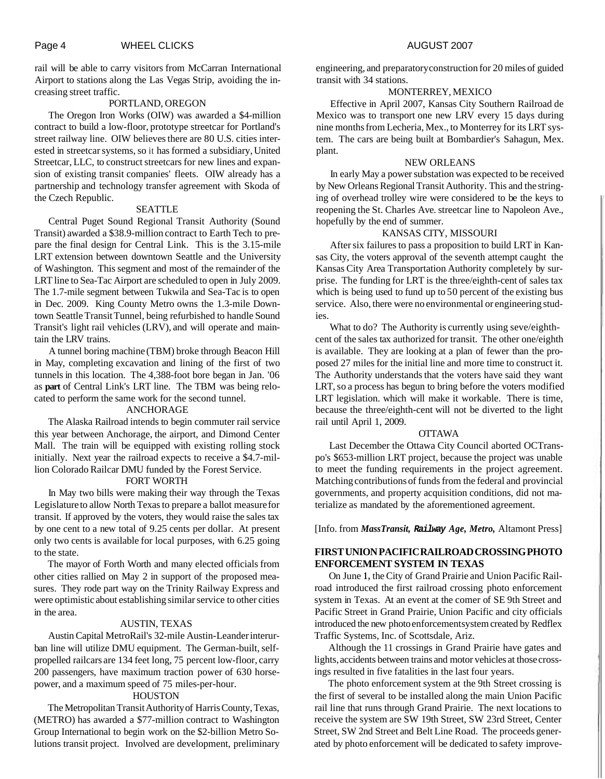rail will be able to carry visitors from McCarran International Airport to stations along the Las Vegas Strip, avoiding the increasing street traffic.

#### PORTLAND, OREGON

The Oregon Iron Works (OIW) was awarded a \$4-million contract to build a low-floor, prototype streetcar for Portland's street railway line. OIW believes there are 80 U.S. cities interested in streetcar systems, so it has formed a subsidiary, United Streetcar, LLC, to construct streetcars for new lines and expansion of existing transit companies' fleets. OIW already has a partnership and technology transfer agreement with Skoda of the Czech Republic.

#### SEATTLE

Central Puget Sound Regional Transit Authority (Sound Transit) awarded a \$38.9-million contract to Earth Tech to prepare the final design for Central Link. This is the 3.15-mile LRT extension between downtown Seattle and the University of Washington. This segment and most of the remainder of the LRT line to Sea-Tac Airport are scheduled to open in July 2009. The 1.7-mile segment between Tukwila and Sea-Tac is to open in Dec. 2009. King County Metro owns the 1.3-mile Downtown Seattle Transit Tunnel, being refurbished to handle Sound Transit's light rail vehicles (LRV), and will operate and maintain the LRV trains.

A tunnel boring machine (TBM) broke through Beacon Hill in May, completing excavation and lining of the first of two tunnels in this location. The 4,388-foot bore began in Jan. '06 as **part** of Central Link's LRT line. The TBM was being relocated to perform the same work for the second tunnel.

#### ANCHORAGE

The Alaska Railroad intends to begin commuter rail service this year between Anchorage, the airport, and Dimond Center Mall. The train will be equipped with existing rolling stock initially. Next year the railroad expects to receive a \$4.7-million Colorado Railcar DMU funded by the Forest Service.

### FORT WORTH

In May two bills were making their way through the Texas Legislature to allow North Texas to prepare a ballot measure for transit. If approved by the voters, they would raise the sales tax by one cent to a new total of 9.25 cents per dollar. At present only two cents is available for local purposes, with 6.25 going to the state.

The mayor of Forth Worth and many elected officials from other cities rallied on May 2 in support of the proposed measures. They rode part way on the Trinity Railway Express and were optimistic about establishing similar service to other cities in the area.

#### AUSTIN, TEXAS

Austin Capital MetroRail's 32-mile Austin-Leander interurban line will utilize DMU equipment. The German-built, selfpropelled railcars are 134 feet long, 75 percent low-floor, carry 200 passengers, have maximum traction power of 630 horsepower, and a maximum speed of 75 miles-per-hour.

#### **HOUSTON**

The Metropolitan Transit Authority of Harris County, Texas, (METRO) has awarded a \$77-million contract to Washington Group International to begin work on the \$2-billion Metro Solutions transit project. Involved are development, preliminary engineering, and preparatory construction for 20 miles of guided transit with 34 stations.

#### MONTERREY, MEXICO

Effective in April 2007, Kansas City Southern Railroad de Mexico was to transport one new LRV every 15 days during nine months from Lecheria, Mex., to Monterrey for its LRT system. The cars are being built at Bombardier's Sahagun, Mex. plant.

#### NEW ORLEANS

In early May a power substation was expected to be received by New Orleans Regional Transit Authority. This and the stringing of overhead trolley wire were considered to be the keys to reopening the St. Charles Ave. streetcar line to Napoleon Ave., hopefully by the end of summer.

#### KANSAS CITY, MISSOURI

After six failures to pass a proposition to build LRT in Kansas City, the voters approval of the seventh attempt caught the Kansas City Area Transportation Authority completely by surprise. The funding for LRT is the three/eighth-cent of sales tax which is being used to fund up to 50 percent of the existing bus service. Also, there were no environmental or engineering studies.

What to do? The Authority is currently using seve/eighthcent of the sales tax authorized for transit. The other one/eighth is available. They are looking at a plan of fewer than the proposed 27 miles for the initial line and more time to construct it. The Authority understands that the voters have said they want LRT, so a process has begun to bring before the voters modified LRT legislation. which will make it workable. There is time, because the three/eighth-cent will not be diverted to the light rail until April 1, 2009.

#### OTTAWA

Last December the Ottawa City Council aborted OCTranspo's \$653-million LRT project, because the project was unable to meet the funding requirements in the project agreement. Matching contributions of funds from the federal and provincial governments, and property acquisition conditions, did not materialize as mandated by the aforementioned agreement.

[Info. from *MassTransit,* **Railway** *Age, Metro,* Altamont Press]

## **FIRST UNION PACIFIC RAILROAD CROSSING PHOTO ENFORCEMENT SYSTEM IN TEXAS**

On June **1,** the City of Grand Prairie and Union Pacific Railroad introduced the first railroad crossing photo enforcement system in Texas. At an event at the comer of SE 9th Street and Pacific Street in Grand Prairie, Union Pacific and city officials introduced the new photo enforcement system created by Redflex Traffic Systems, Inc. of Scottsdale, Ariz.

Although the 11 crossings in Grand Prairie have gates and lights, accidents between trains and motor vehicles at those crossings resulted in five fatalities in the last four years.

The photo enforcement system at the 9th Street crossing is the first of several to be installed along the main Union Pacific rail line that runs through Grand Prairie. The next locations to receive the system are SW 19th Street, SW 23rd Street, Center Street, SW 2nd Street and Belt Line Road. The proceeds generated by photo enforcement will be dedicated to safety improve-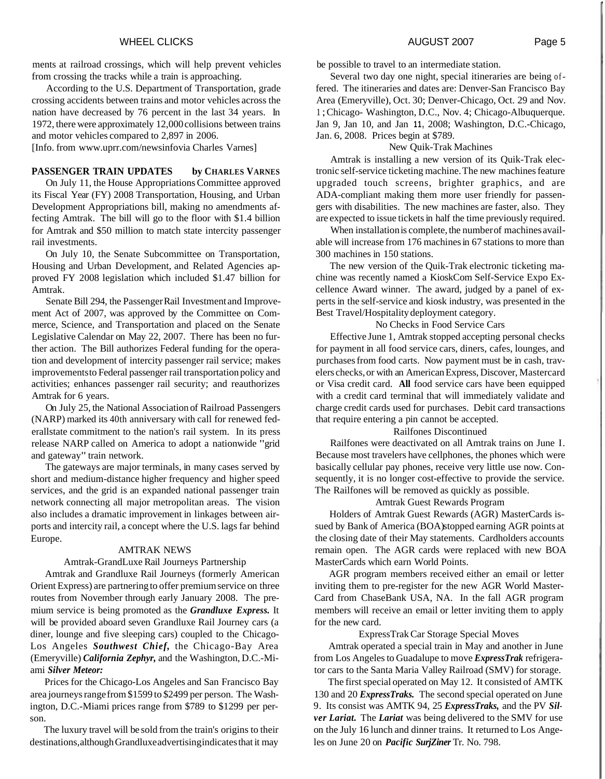ments at railroad crossings, which will help prevent vehicles from crossing the tracks while a train is approaching.

According to the U.S. Department of Transportation, grade crossing accidents between trains and motor vehicles across the nation have decreased by 76 percent in the last 34 years. In 1972, there were approximately 12,000 collisions between trains and motor vehicles compared to 2,897 in 2006.

[Info. from www.uprr.com/newsinfovia Charles Varnes]

#### PASSENGER TRAIN UPDATES by CHARLES VARNES

On July 11, the House Appropriations Committee approved its Fiscal Year (FY) 2008 Transportation, Housing, and Urban Development Appropriations bill, making no amendments affecting Amtrak. The bill will go to the floor with \$1.4 billion for Amtrak and \$50 million to match state intercity passenger rail investments.

On July 10, the Senate Subcommittee on Transportation, Housing and Urban Development, and Related Agencies approved FY 2008 legislation which included \$1.47 billion for Amtrak.

Senate Bill 294, the Passenger Rail Investment and Improvement Act of 2007, was approved by the Committee on Commerce, Science, and Transportation and placed on the Senate Legislative Calendar on May 22, 2007. There has been no further action. The Bill authorizes Federal funding for the operation and development of intercity passenger rail service; makes improvements to Federal passenger rail transportation policy and activities; enhances passenger rail security; and reauthorizes Amtrak for 6 years.

On July 25, the National Association of Railroad Passengers (NARP) marked its 40th anniversary with call for renewed federallstate commitment to the nation's rail system. In its press release NARP called on America to adopt a nationwide "grid and gateway" train network.

The gateways are major terminals, in many cases served by short and medium-distance higher frequency and higher speed services, and the grid is an expanded national passenger train network connecting all major metropolitan areas. The vision also includes a dramatic improvement in linkages between airports and intercity rail, a concept where the U.S. lags far behind Europe.

#### AMTRAK NEWS

#### Amtrak-GrandLuxe Rail Journeys Partnership

Amtrak and Grandluxe Rail Journeys (formerly American Orient Express) are partnering to offer premium service on three routes from November through early January 2008. The premium service is being promoted as the *Grandluxe Express.* It will be provided aboard seven Grandluxe Rail Journey cars (a diner, lounge and five sleeping cars) coupled to the Chicago-Los Angeles *Southwest Chief,* the Chicago-Bay Area (Emeryville) *California Zephyr,* and the Washington, D.C.-Miami *Silver Meteor:* 

Prices for the Chicago-Los Angeles and San Francisco Bay area journeys range from \$1599 to \$2499 per person. The Washington, D.C.-Miami prices range from \$789 to \$1299 per person.

The luxury travel will be sold from the train's origins to their destinations, although Grandluxe advertising indicates that it may be possible to travel to an intermediate station.

Several two day one night, special itineraries are being offered. The itineraries and dates are: Denver-San Francisco Bay Area (Emeryville), Oct. 30; Denver-Chicago, Oct. 29 and Nov. <sup>1</sup>; Chicago- Washington, D.C., Nov. 4; Chicago-Albuquerque. Jan 9, Jan 10, and Jan **11,** 2008; Washington, D.C.-Chicago, Jan. 6, 2008. Prices begin at \$789.

#### New Quik-Trak Machines

Amtrak is installing a new version of its Quik-Trak electronic self-service ticketing machine. The new machines feature upgraded touch screens, brighter graphics, and are ADA-compliant making them more user friendly for passengers with disabilities. The new machines are faster, also. They are expected to issue tickets in half the time previously required.

When installation is complete, the number of machines available will increase from 176 machines in 67 stations to more than 300 machines in 150 stations.

The new version of the Quik-Trak electronic ticketing machine was recently named a KioskCom Self-Service Expo Excellence Award winner. The award, judged by a panel of experts in the self-service and kiosk industry, was presented in the Best Travel/Hospitality deployment category.

#### No Checks in Food Service Cars

Effective June 1, Amtrak stopped accepting personal checks for payment in all food service cars, diners, cafes, lounges, and purchases from food carts. Now payment must be in cash, travelers checks, or with an American Express, Discover, Mastercard or Visa credit card. **All** food service cars have been equipped with a credit card terminal that will immediately validate and charge credit cards used for purchases. Debit card transactions that require entering a pin cannot be accepted.

#### Railfones Discontinued

Railfones were deactivated on all Amtrak trains on June I. Because most travelers have cellphones, the phones which were basically cellular pay phones, receive very little use now. Consequently, it is no longer cost-effective to provide the service. The Railfones will be removed as quickly as possible.

#### Amtrak Guest Rewards Program

Holders of Amtrak Guest Rewards (AGR) MasterCards issued by Bank of America (BOA) stopped earning AGR points at the closing date of their May statements. Cardholders accounts remain open. The AGR cards were replaced with new BOA MasterCards which earn World Points.

AGR program members received either an email or letter inviting them to pre-register for the new AGR World Master-Card from ChaseBank USA, NA. In the fall AGR program members will receive an email or letter inviting them to apply for the new card.

#### ExpressTrak Car Storage Special Moves

Amtrak operated a special train in May and another in June from Los Angeles to Guadalupe to move *ExpressTrak* refrigerator cars to the Santa Maria Valley Railroad (SMV) for storage.

The first special operated on May 12. It consisted of AMTK 130 and 20 *ExpressTraks.* The second special operated on June 9. Its consist was AMTK 94, 25 *ExpressTraks,* and the PV *Silver Lariat.* The *Lariat* was being delivered to the SMV for use on the July 16 lunch and dinner trains. It returned to Los Angeles on June 20 on *Pacific SurjZiner* Tr. No. 798.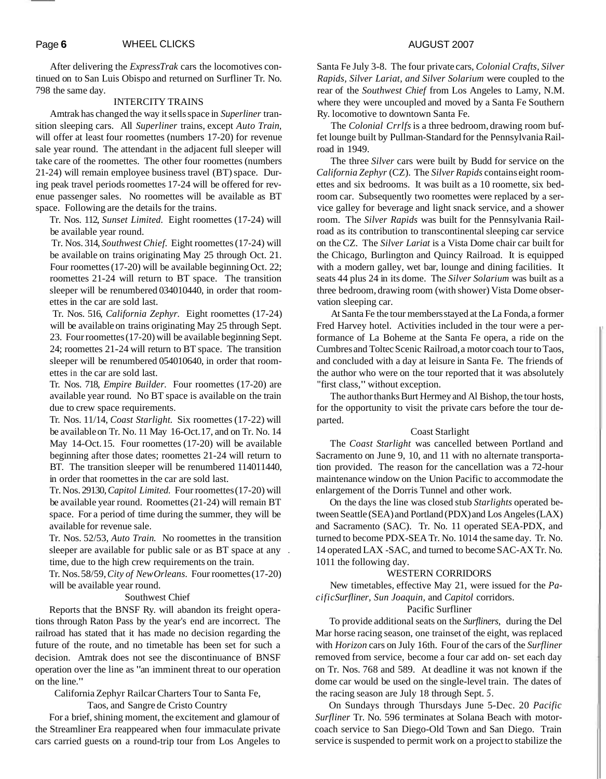After delivering the *ExpressTrak* cars the locomotives continued on to San Luis Obispo and returned on Surfliner Tr. No. 798 the same day.

#### INTERCITY TRAINS

Amtrak has changed the way it sells space in *Superliner* transition sleeping cars. All *Superliner* trains, except *Auto Train,*  will offer at least four roomettes (numbers 17-20) for revenue sale year round. The attendant in the adjacent full sleeper will take care of the roomettes. The other four roomettes (numbers 21-24) will remain employee business travel (BT) space. During peak travel periods roomettes 17-24 will be offered for revenue passenger sales. No roomettes will be available as BT space. Following are the details for the trains.

Tr. Nos. 112, *Sunset Limited.* Eight roomettes (17-24) will be available year round.

Tr. Nos. 314, *Southwest Chief.* Eight roomettes (17-24) will be available on trains originating May 25 through Oct. 21. Four roomettes (17-20) will be available beginning Oct. 22; roomettes 21-24 will return to BT space. The transition sleeper will be renumbered 034010440, in order that roomettes in the car are sold last.

Tr. Nos. 516, *California Zephyr.* Eight roomettes (17-24) will be available on trains originating May 25 through Sept. 23. Four roomettes (17-20) will be available beginning Sept. 24; roomettes 21-24 will return to BT space. The transition sleeper will be renumbered 054010640, in order that roomettes in the car are sold last.

Tr. Nos. 718, *Empire Builder.* Four roomettes (17-20) are available year round. No BT space is available on the train due to crew space requirements.

Tr. Nos. 11/14, *Coast Starlight.* Six roomettes (17-22) will be available on Tr. No. 11 May 16-Oct. 17, and on Tr. No. 14 May 14-Oct. 15. Four roomettes (17-20) will be available beginning after those dates; roomettes 21-24 will return to BT. The transition sleeper will be renumbered  $114011440$ , in order that roomettes in the car are sold last.

Tr. Nos. 29130, *Capitol Limited.* Four roomettes (17-20) will be available year round. Roomettes (21-24) will remain BT space. For a period of time during the summer, they will be available for revenue sale.

Tr. Nos. 52/53, *Auto Train.* No roomettes in the transition sleeper are available for public sale or as BT space at any . time, due to the high crew requirements on the train.

Tr. Nos. 58/59, *City of New Orleans.* Four roomettes (17-20) will be available year round.

#### Southwest Chief

Reports that the BNSF Ry. will abandon its freight operations through Raton Pass by the year's end are incorrect. The railroad has stated that it has made no decision regarding the future of the route, and no timetable has been set for such a decision. Amtrak does not see the discontinuance of BNSF operation over the line as "an imminent threat to our operation on the line."

California Zephyr Railcar Charters Tour to Santa Fe,

Taos, and Sangre de Cristo Country

For a brief, shining moment, the excitement and glamour of the Streamliner Era reappeared when four immaculate private cars carried guests on a round-trip tour from Los Angeles to

The *Colonial Crrlfs* is a three bedroom, drawing room buffet lounge built by Pullman-Standard for the Pennsylvania Railroad in 1949.

The three *Silver* cars were built by Budd for service on the *California Zephyr* (CZ). The *Silver Rapids* contains eight roomettes and six bedrooms. It was built as a 10 roomette, six bedroom car. Subsequently two roomettes were replaced by a service galley for beverage and light snack service, and a shower room. The *Silver Rapids* was built for the Pennsylvania Railroad as its contribution to transcontinental sleeping car service on the CZ. The *Silver Lariat* is a Vista Dome chair car built for the Chicago, Burlington and Quincy Railroad. It is equipped with a modern galley, wet bar, lounge and dining facilities. It seats 44 plus 24 in its dome. The *Silver Solarium* was built as a three bedroom, drawing room (with shower) Vista Dome observation sleeping car.

At Santa Fe the tour members stayed at the La Fonda, a former Fred Harvey hotel. Activities included in the tour were a performance of La Boheme at the Santa Fe opera, a ride on the Cumbres and Toltec Scenic Railroad, a motor coach tour to Taos, and concluded with a day at leisure in Santa Fe. The friends of the author who were on the tour reported that it was absolutely "first class," without exception.

The author thanks Burt Hermey and Al Bishop, the tour hosts, for the opportunity to visit the private cars before the tour departed.

#### Coast Starlight

The *Coast Starlight* was cancelled between Portland and Sacramento on June 9, 10, and 11 with no alternate transportation provided. The reason for the cancellation was a 72-hour maintenance window on the Union Pacific to accommodate the enlargement of the Dorris Tunnel and other work.

On the days the line was closed stub *Starlights* operated between Seattle (SEA) and Portland (PDX) and Los Angeles (LAX) and Sacramento (SAC). Tr. No. 11 operated SEA-PDX, and turned to become PDX-SEA Tr. No. 1014 the same day. Tr. No. 14 operated LAX -SAC, and turned to become SAC-AX Tr. No. 1011 the following day.

#### WESTERN CORRIDORS

New timetables, effective May 21, were issued for the *PacificSurfliner, Sun Joaquin,* and *Capitol* corridors.

#### Pacific Surfliner

To provide additional seats on the *Surfliners,* during the Del Mar horse racing season, one trainset of the eight, was replaced with *Horizon* cars on July 16th. Four of the cars of the *Surfliner*  removed from service, become a four car add on- set each day on Tr. Nos. 768 and 589. At deadline it was not known if the dome car would be used on the single-level train. The dates of the racing season are July 18 through Sept. *5.* 

On Sundays through Thursdays June 5-Dec. 20 *Pacific Surfliner* Tr. No. 596 terminates at Solana Beach with motorcoach service to San Diego-Old Town and San Diego. Train service is suspended to permit work on a project to stabilize the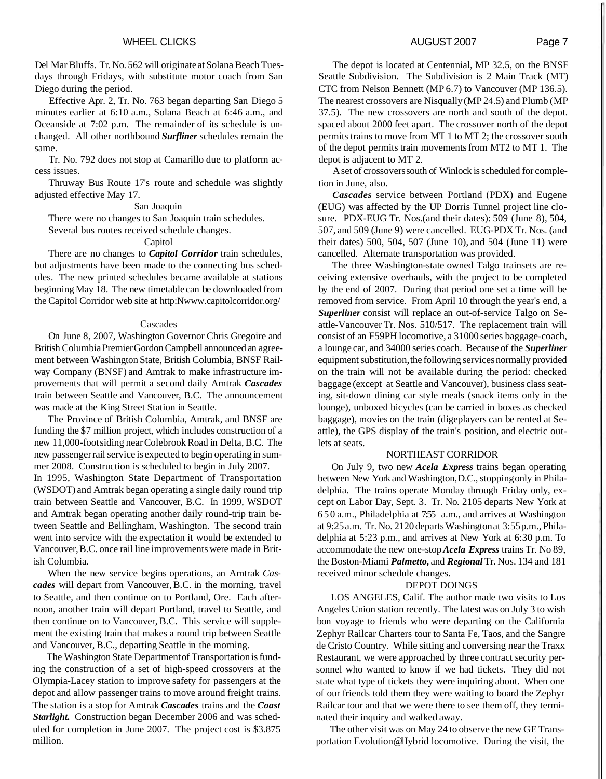Del Mar Bluffs. Tr. No. 562 will originate at Solana Beach Tuesdays through Fridays, with substitute motor coach from San Diego during the period.

Effective Apr. 2, Tr. No. 763 began departing San Diego 5 minutes earlier at 6:10 a.m., Solana Beach at 6:46 a.m., and Oceanside at 7:02 p.m. The remainder of its schedule is unchanged. All other northbound *Surfliner* schedules remain the same.

Tr. No. 792 does not stop at Camarillo due to platform access issues.

Thruway Bus Route 17's route and schedule was slightly adjusted effective May 17.

#### San Joaquin

There were no changes to San Joaquin train schedules.

Several bus routes received schedule changes.

## Capitol

There are no changes to *Capitol Corridor* train schedules, but adjustments have been made to the connecting bus schedules. The new printed schedules became available at stations beginning May 18. The new timetable can be downloaded from the Capitol Corridor web site at http:Nwww.capitolcorridor.org/

#### Cascades

On June 8, 2007, Washington Governor Chris Gregoire and British Columbia Premier Gordon Campbell announced an agreement between Washington State, British Columbia, BNSF Railway Company (BNSF) and Amtrak to make infrastructure improvements that will permit a second daily Amtrak *Cascades*  train between Seattle and Vancouver, B.C. The announcement was made at the King Street Station in Seattle.

The Province of British Columbia, Amtrak, and BNSF are funding the \$7 million project, which includes construction of a new 11,000-foot siding near Colebrook Road in Delta, B.C. The new passenger rail service is expected to begin operating in summer 2008. Construction is scheduled to begin in July 2007.

In 1995, Washington State Department of Transportation (WSDOT) and Amtrak began operating a single daily round trip train between Seattle and Vancouver, B.C. In 1999, WSDOT and Amtrak began operating another daily round-trip train between Seattle and Bellingham, Washington. The second train went into service with the expectation it would be extended to Vancouver, B.C. once rail line improvements were made in British Columbia.

When the new service begins operations, an Amtrak *Cascades* will depart from Vancouver, B.C. in the morning, travel to Seattle, and then continue on to Portland, Ore. Each afternoon, another train will depart Portland, travel to Seattle, and then continue on to Vancouver, B.C. This service will supplement the existing train that makes a round trip between Seattle and Vancouver, B.C., departing Seattle in the morning.

The Washington State Department of Transportation is funding the construction of a set of high-speed crossovers at the Olympia-Lacey station to improve safety for passengers at the depot and allow passenger trains to move around freight trains. The station is a stop for Amtrak *Cascades* trains and the *Coast Starlight.* Construction began December 2006 and was scheduled for completion in June 2007. The project cost is \$3.875 million.

The depot is located at Centennial, MP 32.5, on the BNSF Seattle Subdivision. The Subdivision is 2 Main Track (MT) CTC from Nelson Bennett (MP 6.7) to Vancouver (MP 136.5). The nearest crossovers are Nisqually (MP 24.5) and Plumb (MP 37.5). The new crossovers are north and south of the depot. spaced about 2000 feet apart. The crossover north of the depot permits trains to move from MT 1 to MT 2; the crossover south of the depot permits train movements from MT2 to MT 1. The depot is adjacent to MT 2.

A set of crossovers south of Winlock is scheduled for completion in June, also.

*Cascades* service between Portland (PDX) and Eugene (EUG) was affected by the UP Dorris Tunnel project line closure. PDX-EUG Tr. Nos.(and their dates): 509 (June 8), 504, 507, and 509 (June 9) were cancelled. EUG-PDX Tr. Nos. (and their dates) 500, 504, 507 (June 10), and 504 (June 11) were cancelled. Alternate transportation was provided.

The three Washington-state owned Talgo trainsets are receiving extensive overhauls, with the project to be completed by the end of 2007. During that period one set a time will be removed from service. From April 10 through the year's end, a *Superliner* consist will replace an out-of-service Talgo on Seattle-Vancouver Tr. Nos. 510/517. The replacement train will consist of an F59PH locomotive, a 3 1000 series baggage-coach, a lounge car, and 34000 series coach. Because of the *Superliner*  equipment substitution, the following services normally provided on the train will not be available during the period: checked baggage (except at Seattle and Vancouver), business class seating, sit-down dining car style meals (snack items only in the lounge), unboxed bicycles (can be carried in boxes as checked baggage), movies on the train (digeplayers can be rented at Seattle), the GPS display of the train's position, and electric outlets at seats.

#### NORTHEAST CORRIDOR

On July 9, two new *Acela Express* trains began operating between New York and Washington, D.C., stopping only in Philadelphia. The trains operate Monday through Friday only, except on Labor Day, Sept. 3. Tr. No. 2105 departs New York at 650 a.m., Philadelphia at 7:55 a.m., and arrives at Washington at 9:25 a.m. Tr. No. 2120 departs Washington at 3:55 p.m., Philadelphia at 5:23 p.m., and arrives at New York at 6:30 p.m. To accommodate the new one-stop *Acela Express* trains Tr. No 89, the Boston-Miami *Palmetto,* and *Regional* Tr. Nos. 134 and 18 1 received minor schedule changes.

#### DEPOT DOINGS

LOS ANGELES, Calif. The author made two visits to Los Angeles Union station recently. The latest was on July 3 to wish bon voyage to friends who were departing on the California Zephyr Railcar Charters tour to Santa Fe, Taos, and the Sangre de Cristo Country. While sitting and conversing near the Traxx Restaurant, we were approached by three contract security personnel who wanted to know if we had tickets. They did not state what type of tickets they were inquiring about. When one of our friends told them they were waiting to board the Zephyr Railcar tour and that we were there to see them off, they terminated their inquiry and walked away.

The other visit was on May 24 to observe the new GE Transportation Evolution@Hybrid locomotive. During the visit, the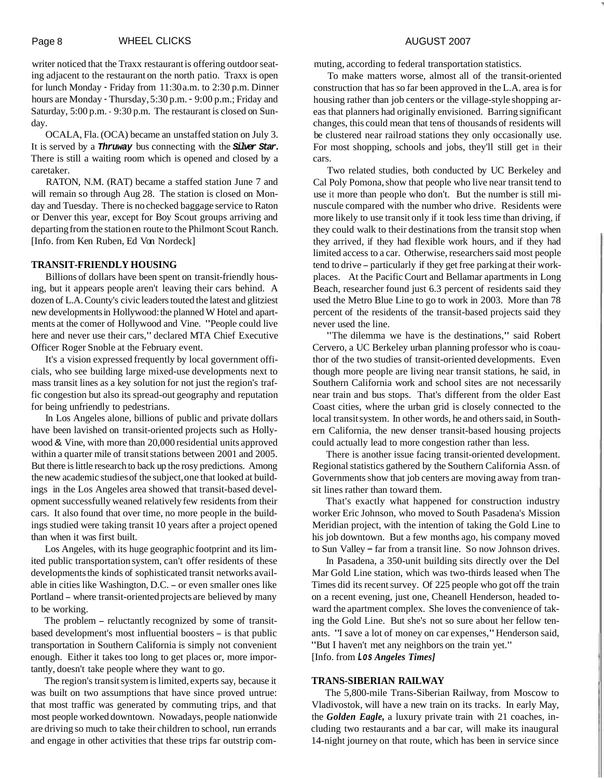writer noticed that the Traxx restaurant is offering outdoor seating adjacent to the restaurant on the north patio. Traxx is open for lunch Monday - Friday from 11:30 a.m. to 2:30 p.m. Dinner hours are Monday - Thursday, 5:30 p.m. - 9:00 p.m.; Friday and Saturday, 5:00 p.m. - 9:30 p.m. The restaurant is closed on Sunday.

OCALA, Fla. (OCA) became an unstaffed station on July 3. It is served by a **Thruway** bus connecting with the **Silver Star.**  There is still a waiting room which is opened and closed by a caretaker.

RATON, N.M. (RAT) became a staffed station June 7 and will remain so through Aug 28. The station is closed on Monday and Tuesday. There is no checked baggage service to Raton or Denver this year, except for Boy Scout groups arriving and departing from the station en route to the Philmont Scout Ranch. [Info. from Ken Ruben, Ed Von Nordeck]

#### **TRANSIT-FRIENDLY HOUSING**

Billions of dollars have been spent on transit-friendly housing, but it appears people aren't leaving their cars behind. A dozen of L.A. County's civic leaders touted the latest and glitziest new developments in Hollywood: the planned W Hotel and apartments at the comer of Hollywood and Vine. "People could live here and never use their cars," declared MTA Chief Executive Officer Roger Snoble at the February event.

It's a vision expressed frequently by local government officials, who see building large mixed-use developments next to mass transit lines as a key solution for not just the region's traffic congestion but also its spread-out geography and reputation for being unfriendly to pedestrians.

In Los Angeles alone, billions of public and private dollars have been lavished on transit-oriented projects such as Hollywood & Vine, with more than 20,000 residential units approved within a quarter mile of transit stations between 2001 and 2005. But there is little research to back up the rosy predictions. Among the new academic studies of the subject, one that looked at buildings in the Los Angeles area showed that transit-based development successfully weaned relatively few residents from their cars. It also found that over time, no more people in the buildings studied were taking transit 10 years after a project opened than when it was first built.

Los Angeles, with its huge geographic footprint and its limited public transportation system, can't offer residents of these developments the kinds of sophisticated transit networks available in cities like Washington, D.C. - or even smaller ones like Portland - where transit-oriented projects are believed by many to be working.

The problem - reluctantly recognized by some of transitbased development's most influential boosters - is that public transportation in Southern California is simply not convenient enough. Either it takes too long to get places or, more importantly, doesn't take people where they want to go.

The region's transit system is limited, experts say, because it was built on two assumptions that have since proved untrue: that most traffic was generated by commuting trips, and that most people worked downtown. Nowadays, people nationwide are driving so much to take their children to school, run errands and engage in other activities that these trips far outstrip commuting, according to federal transportation statistics.

To make matters worse, almost all of the transit-oriented construction that has so far been approved in the L.A. area is for housing rather than job centers or the village-style shopping areas that planners had originally envisioned. Barring significant changes, this could mean that tens of thousands of residents will be clustered near railroad stations they only occasionally use. For most shopping, schools and jobs, they'll still get in their cars.

Two related studies, both conducted by UC Berkeley and Cal Poly Pomona, show that people who live near transit tend to use it more than people who don't. But the number is still minuscule compared with the number who drive. Residents were more likely to use transit only if it took less time than driving, if they could walk to their destinations from the transit stop when they arrived, if they had flexible work hours, and if they had limited access to a car. Otherwise, researchers said most people tend to drive - particularly if they get free parking at their workplaces. At the Pacific Court and Bellamar apartments in Long Beach, researcher found just 6.3 percent of residents said they used the Metro Blue Line to go to work in 2003. More than 78 percent of the residents of the transit-based projects said they never used the line.

"The dilemma we have is the destinations," said Robert Cervero, a UC Berkeley urban planning professor who is coauthor of the two studies of transit-oriented developments. Even though more people are living near transit stations, he said, in Southern California work and school sites are not necessarily near train and bus stops. That's different from the older East Coast cities, where the urban grid is closely connected to the local transit system. In other words, he and others said, in Southern California, the new denser transit-based housing projects could actually lead to more congestion rather than less.

There is another issue facing transit-oriented development. Regional statistics gathered by the Southern California Assn. of Governments show that job centers are moving away from transit lines rather than toward them.

That's exactly what happened for construction industry worker Eric Johnson, who moved to South Pasadena's Mission Meridian project, with the intention of taking the Gold Line to his job downtown. But a few months ago, his company moved to Sun Valley – far from a transit line. So now Johnson drives.

In Pasadena, a 350-unit building sits directly over the Del Mar Gold Line station, which was two-thirds leased when The Times did its recent survey. Of 225 people who got off the train on a recent evening, just one, Cheanell Henderson, headed toward the apartment complex. She loves the convenience of taking the Gold Line. But she's not so sure about her fellow tenants. "I save a lot of money on car expenses," Henderson said, "But I haven't met any neighbors on the train yet." [Info. from **Los** *Angeles Times]* 

# **TRANS-SIBERIAN RAILWAY**

The 5,800-mile Trans-Siberian Railway, from Moscow to Vladivostok, will have a new train on its tracks. In early May, the *Golden Eagle,* a luxury private train with 21 coaches, including two restaurants and a bar car, will make its inaugural 14-night journey on that route, which has been in service since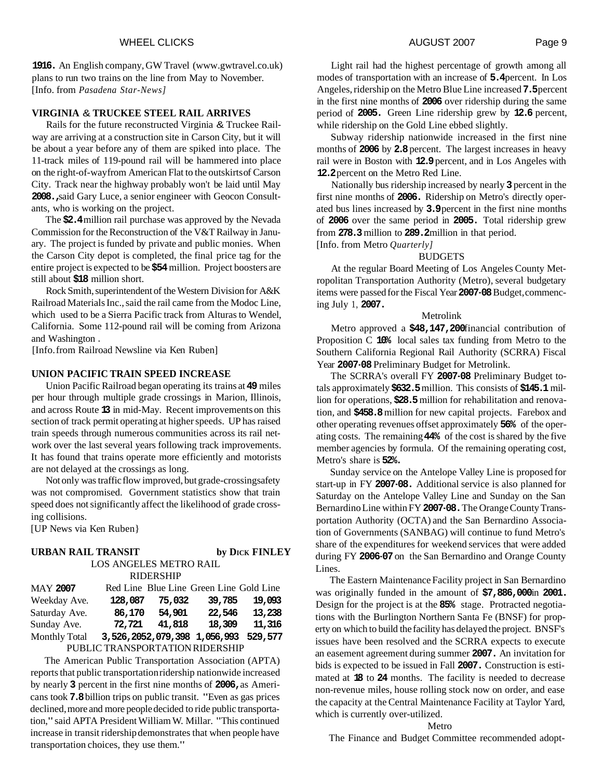**1916.** An English company, GW Travel (www.gwtravel.co.uk) plans to run two trains on the line from May to November. [Info. from *Pasadena Star-News]* 

## **VIRGINIA** & **TRUCKEE STEEL RAIL ARRIVES**

Rails for the future reconstructed Virginia & Truckee Railway are arriving at a construction site in Carson City, but it will be about a year before any of them are spiked into place. The 11-track miles of 119-pound rail will be hammered into place on the right-of-way from American Flat to the outskirts of Carson City. Track near the highway probably won't be laid until May **2008.,** said Gary Luce, a senior engineer with Geocon Consultants, who is working on the project.

The **\$2.4** million rail purchase was approved by the Nevada Commission for the Reconstruction of the V&T Railway in January. The project is funded by private and public monies. When the Carson City depot is completed, the final price tag for the entire project is expected to be **\$54** million. Project boosters are still about **\$18** million short.

Rock Smith, superintendent of the Western Division for A&K Railroad Materials Inc., said the rail came from the Modoc Line, which used to be a Sierra Pacific track from Alturas to Wendel, California. Some 112-pound rail will be coming from Arizona and Washington .

[Info. from Railroad Newsline via Ken Ruben]

#### **UNION PACIFIC TRAIN SPEED INCREASE**

Union Pacific Railroad began operating its trains at **49** miles per hour through multiple grade crossings in Marion, Illinois, and across Route **13** in mid-May. Recent improvements on this section of track permit operating at higher speeds. UP has raised train speeds through numerous communities across its rail network over the last several years following track improvements. It has found that trains operate more efficiently and motorists are not delayed at the crossings as long.

Not only was traffic flow improved, but grade-crossing safety was not compromised. Government statistics show that train speed does not significantly affect the likelihood of grade crossing collisions.

[UP News via Ken Ruben}

## **URBAN RAIL TRANSIT by DICK FINLEY**

LOS ANGELES METRO RAIL RIDERSHIP

| IVITALINI ITT                   |                                      |        |                                         |        |  |  |  |
|---------------------------------|--------------------------------------|--------|-----------------------------------------|--------|--|--|--|
| <b>MAY 2007</b>                 |                                      |        | Red Line Blue Line Green Line Gold Line |        |  |  |  |
| Weekday Ave.                    | 128,087                              | 75,032 | 39,785                                  | 19,093 |  |  |  |
| Saturday Ave.                   | 86,170                               | 54,901 | 22,546                                  | 13,238 |  |  |  |
| Sunday Ave.                     | 72,721                               | 41,818 | 18,309                                  | 11,316 |  |  |  |
| <b>Monthly Total</b>            | 3,526,2052,079,398 1,056,993 529,577 |        |                                         |        |  |  |  |
| PUBLIC TRANSPORTATION RIDERSHIP |                                      |        |                                         |        |  |  |  |

The American Public Transportation Association (APTA) reports that public transportation ridership nationwide increased by nearly **3** percent in the first nine months of **2006,** as Americans took **7.8** billion trips on public transit. "Even as gas prices declined, more and more people decided to ride public transportation," said APTA President William W. Millar. "This continued increase in transit ridership demonstrates that when people have transportation choices, they use them."

Light rail had the highest percentage of growth among all modes of transportation with an increase of **5.4** percent. In Los Angeles, ridership on the Metro Blue Line increased **7.5** percent in the first nine months of **2006** over ridership during the same period of **2005.** Green Line ridership grew by **12.6** percent, while ridership on the Gold Line ebbed slightly.

Subway ridership nationwide increased in the first nine months of **2006** by **2.8** percent. The largest increases in heavy rail were in Boston with **12.9** percent, and in Los Angeles with **12.2** percent on the Metro Red Line.

Nationally bus ridership increased by nearly **3** percent in the first nine months of **2006.** Ridership on Metro's directly operated bus lines increased by **3.9** percent in the first nine months of **2006** over the same period in **2005.** Total ridership grew from **278.3** million to **289.2** million in that period. [Info. from Metro *Quarterly]* 

#### BUDGETS

At the regular Board Meeting of Los Angeles County Metropolitan Transportation Authority (Metro), several budgetary items were passed for the Fiscal Year **2007-08** Budget, commencing July 1, **2007.** 

#### Metrolink

Metro approved a \$48,147,200 financial contribution of Proposition C **10%** local sales tax funding from Metro to the Southern California Regional Rail Authority (SCRRA) Fiscal Year **2007-08** Preliminary Budget for Metrolink.

The SCRRA's overall FY **2007-08** Preliminary Budget totals approximately **\$632.5** million. This consists of **\$145.1** million for operations, **\$28.5** million for rehabilitation and renovation, and **\$458.8** million for new capital projects. Farebox and other operating revenues offset approximately **56%** of the operating costs. The remaining **44%** of the cost is shared by the five member agencies by formula. Of the remaining operating cost, Metro's share is **52%.** 

Sunday service on the Antelope Valley Line is proposed for start-up in FY **2007-08.** Additional service is also planned for Saturday on the Antelope Valley Line and Sunday on the San Bernardino Line within FY **2007-08.** The Orange County Transportation Authority (OCTA) and the San Bernardino Association of Governments (SANBAG) will continue to fund Metro's share of the expenditures for weekend services that were added during FY **2006-07** on the San Bernardino and Orange County Lines.

The Eastern Maintenance Facility project in San Bernardino was originally funded in the amount of  $$7,886,000$ in 2001. Design for the project is at the **85%** stage. Protracted negotiations with the Burlington Northern Santa Fe (BNSF) for property on which to build the facility has delayed the project. BNSF's issues have been resolved and the SCRRA expects to execute an easement agreement during summer **2007.** An invitation for bids is expected to be issued in Fall **2007.** Construction is estimated at **18** to **24** months. The facility is needed to decrease non-revenue miles, house rolling stock now on order, and ease the capacity at the Central Maintenance Facility at Taylor Yard, which is currently over-utilized.

#### Metro

The Finance and Budget Committee recommended adopt-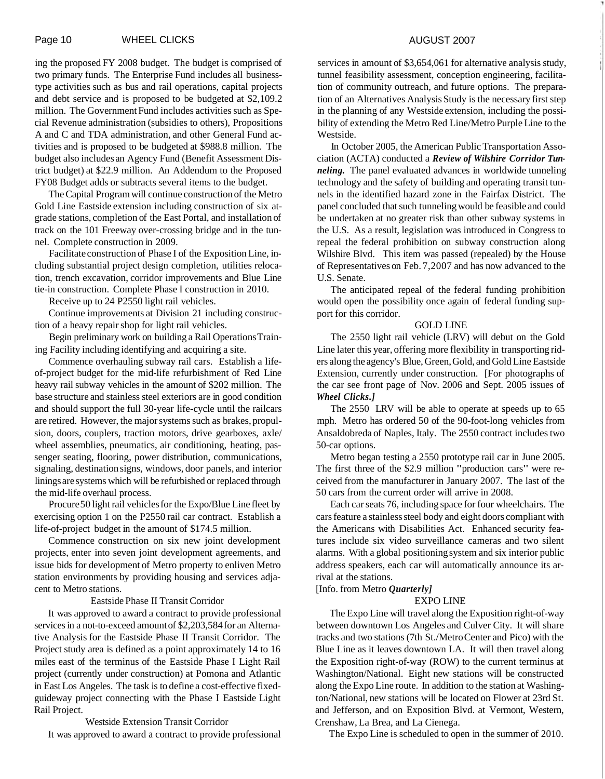ing the proposed FY 2008 budget. The budget is comprised of two primary funds. The Enterprise Fund includes all businesstype activities such as bus and rail operations, capital projects and debt service and is proposed to be budgeted at \$2,109.2 million. The Government Fund includes activities such as Special Revenue administration (subsidies to others), Propositions A and C and TDA administration, and other General Fund activities and is proposed to be budgeted at \$988.8 million. The budget also includes an Agency Fund (Benefit Assessment District budget) at \$22.9 million. An Addendum to the Proposed FY08 Budget adds or subtracts several items to the budget.

The Capital Program will continue construction of the Metro Gold Line Eastside extension including construction of six atgrade stations, completion of the East Portal, and installation of track on the 101 Freeway over-crossing bridge and in the tunnel. Complete construction in 2009.

Facilitate construction of Phase I of the Exposition Line, including substantial project design completion, utilities relocation, trench excavation, corridor improvements and Blue Line tie-in construction. Complete Phase I construction in 2010.

Receive up to 24 P2550 light rail vehicles.

Continue improvements at Division 21 including construction of a heavy repair shop for light rail vehicles.

Begin preliminary work on building a Rail Operations Training Facility including identifying and acquiring a site.

Commence overhauling subway rail cars. Establish a lifeof-project budget for the mid-life refurbishment of Red Line heavy rail subway vehicles in the amount of \$202 million. The base structure and stainless steel exteriors are in good condition and should support the full 30-year life-cycle until the railcars are retired. However, the major systems such as brakes, propulsion, doors, couplers, traction motors, drive gearboxes, axle/ wheel assemblies, pneumatics, air conditioning, heating, passenger seating, flooring, power distribution, communications, signaling, destination signs, windows, door panels, and interior linings are systems which will be refurbished or replaced through the mid-life overhaul process.

Procure 50 light rail vehicles for the Expo/Blue Line fleet by exercising option 1 on the P2550 rail car contract. Establish a life-of-project budget in the amount of \$174.5 million.

Commence construction on six new joint development projects, enter into seven joint development agreements, and issue bids for development of Metro property to enliven Metro station environments by providing housing and services adjacent to Metro stations.

#### Eastside Phase II Transit Corridor

It was approved to award a contract to provide professional services in a not-to-exceed amount of \$2,203,584 for an Alternative Analysis for the Eastside Phase II Transit Corridor. The Project study area is defined as a point approximately 14 to 16 miles east of the terminus of the Eastside Phase I Light Rail project (currently under construction) at Pomona and Atlantic in East Los Angeles. The task is to define a cost-effective fixedguideway project connecting with the Phase I Eastside Light Rail Project.

Westside Extension Transit Corridor It was approved to award a contract to provide professional services in amount of \$3,654,061 for alternative analysis study, tunnel feasibility assessment, conception engineering, facilitation of community outreach, and future options. The preparation of an Alternatives Analysis Study is the necessary first step in the planning of any Westside extension, including the possibility of extending the Metro Red Line/Metro Purple Line to the Westside.

In October 2005, the American Public Transportation Association (ACTA) conducted a *Review of Wilshire Corridor Tunneling.* The panel evaluated advances in worldwide tunneling technology and the safety of building and operating transit tunnels in the identified hazard zone in the Fairfax District. The panel concluded that such tunneling would be feasible and could be undertaken at no greater risk than other subway systems in the U.S. As a result, legislation was introduced in Congress to repeal the federal prohibition on subway construction along Wilshire Blvd. This item was passed (repealed) by the House of Representatives on Feb. 7,2007 and has now advanced to the U.S. Senate.

The anticipated repeal of the federal funding prohibition would open the possibility once again of federal funding support for this corridor.

#### GOLD LINE

The 2550 light rail vehicle (LRV) will debut on the Gold Line later this year, offering more flexibility in transporting riders along the agency's Blue, Green, Gold, and Gold Line Eastside Extension, currently under construction. [For photographs of the car see front page of Nov. 2006 and Sept. 2005 issues of *Wheel Clicks.]* 

The 2550 LRV will be able to operate at speeds up to 65 mph. Metro has ordered 50 of the 90-foot-long vehicles from Ansaldobreda of Naples, Italy. The 2550 contract includes two 50-car options.

Metro began testing a 2550 prototype rail car in June 2005. The first three of the \$2.9 million "production cars" were received from the manufacturer in January 2007. The last of the 50 cars from the current order will arrive in 2008.

Each car seats 76, including space for four wheelchairs. The cars feature a stainless steel body and eight doors compliant with the Americans with Disabilities Act. Enhanced security features include six video surveillance cameras and two silent alarms. With a global positioning system and six interior public address speakers, each car will automatically announce its arrival at the stations.

#### [Info. from Metro *Quarterly]*

#### EXPO LINE

The Expo Line will travel along the Exposition right-of-way between downtown Los Angeles and Culver City. It will share tracks and two stations (7th St./Metro Center and Pico) with the Blue Line as it leaves downtown LA. It will then travel along the Exposition right-of-way (ROW) to the current terminus at Washington/National. Eight new stations will be constructed along the Expo Line route. In addition to the station at Washington/National, new stations will be located on Flower at 23rd St. and Jefferson, and on Exposition Blvd. at Vermont, Western, Crenshaw, La Brea, and La Cienega.

The Expo Line is scheduled to open in the summer of 2010.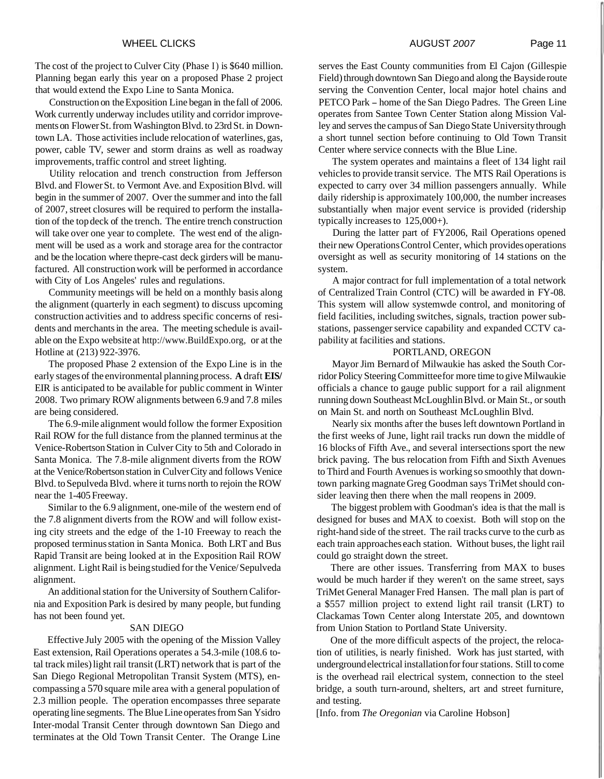#### WHEEL CLICKS **AUGUST 2007** Page 11

The cost of the project to Culver City (Phase I) is \$640 million. Planning began early this year on a proposed Phase 2 project that would extend the Expo Line to Santa Monica.

Construction on the Exposition Line began in the fall of 2006. Work currently underway includes utility and corridor improvements on Flower St. from Washington Blvd. to 23rd St. in Downtown LA. Those activities include relocation of waterlines, gas, power, cable TV, sewer and storm drains as well as roadway improvements, traffic control and street lighting.

Utility relocation and trench construction from Jefferson Blvd. and Flower St. to Vermont Ave. and Exposition Blvd. will begin in the summer of 2007. Over the summer and into the fall of 2007, street closures will be required to perform the installation of the top deck of the trench. The entire trench construction will take over one year to complete. The west end of the alignment will be used as a work and storage area for the contractor and be the location where thepre-cast deck girders will be manufactured. All construction work will be performed in accordance with City of Los Angeles' rules and regulations.

Community meetings will be held on a monthly basis along the alignment (quarterly in each segment) to discuss upcoming construction activities and to address specific concerns of residents and merchants in the area. The meeting schedule is available on the Expo website at http://www.BuildExpo.org, or at the Hotline at (213) 922-3976.

The proposed Phase 2 extension of the Expo Line is in the early stages of the environmental planning process. **A** draft **EIS/**  EIR is anticipated to be available for public comment in Winter 2008. Two primary ROW alignments between 6.9 and 7.8 miles are being considered.

The 6.9-mile alignment would follow the former Exposition Rail ROW for the full distance from the planned terminus at the Venice-Robertson Station in Culver City to 5th and Colorado in Santa Monica. The 7.8-mile alignment diverts from the ROW at the Venice/Robertson station in Culver City and follows Venice Blvd. to Sepulveda Blvd. where it turns north to rejoin the ROW near the 1-405 Freeway.

Similar to the 6.9 alignment, one-mile of the western end of the 7.8 alignment diverts from the ROW and will follow existing city streets and the edge of the 1-10 Freeway to reach the proposed terminus station in Santa Monica. Both LRT and Bus Rapid Transit are being looked at in the Exposition Rail ROW alignment. Light Rail is being studied for the Venice/ Sepulveda alignment.

An additional station for the University of Southern California and Exposition Park is desired by many people, but funding has not been found yet.

#### SAN DIEGO

Effective July 2005 with the opening of the Mission Valley East extension, Rail Operations operates a 54.3-mile (108.6 total track miles) light rail transit (LRT) network that is part of the San Diego Regional Metropolitan Transit System (MTS), encompassing a 570 square mile area with a general population of 2.3 million people. The operation encompasses three separate operating line segments. The Blue Line operates from San Ysidro Inter-modal Transit Center through downtown San Diego and terminates at the Old Town Transit Center. The Orange Line

serves the East County communities from El Cajon (Gillespie Field) through downtown San Diego and along the Bayside route serving the Convention Center, local major hotel chains and PETCO Park - home of the San Diego Padres. The Green Line operates from Santee Town Center Station along Mission Valley and serves the campus of San Diego State University through a short tunnel section before continuing to Old Town Transit Center where service connects with the Blue Line.

The system operates and maintains a fleet of 134 light rail vehicles to provide transit service. The MTS Rail Operations is expected to carry over 34 million passengers annually. While daily ridership is approximately 100,000, the number increases substantially when major event service is provided (ridership typically increases to 125,000+).

During the latter part of FY2006, Rail Operations opened their new Operations Control Center, which provides operations oversight as well as security monitoring of 14 stations on the system.

A major contract for full implementation of a total network of Centralized Train Control (CTC) will be awarded in FY-08. This system will allow systemwde control, and monitoring of field facilities, including switches, signals, traction power substations, passenger service capability and expanded CCTV capability at facilities and stations.

#### PORTLAND, OREGON

Mayor Jim Bernard of Milwaukie has asked the South Corridor Policy Steering Committee for more time to give Milwaukie officials a chance to gauge public support for a rail alignment running down Southeast McLoughlin Blvd. or Main St., or south on Main St. and north on Southeast McLoughlin Blvd.

Nearly six months after the buses left downtown Portland in the first weeks of June, light rail tracks run down the middle of 16 blocks of Fifth Ave., and several intersections sport the new brick paving. The bus relocation from Fifth and Sixth Avenues to Third and Fourth Avenues is working so smoothly that downtown parking magnate Greg Goodman says TriMet should consider leaving then there when the mall reopens in 2009.

The biggest problem with Goodman's idea is that the mall is designed for buses and MAX to coexist. Both will stop on the right-hand side of the street. The rail tracks curve to the curb as each train approaches each station. Without buses, the light rail could go straight down the street.

There are other issues. Transferring from MAX to buses would be much harder if they weren't on the same street, says TriMet General Manager Fred Hansen. The mall plan is part of a \$557 million project to extend light rail transit (LRT) to Clackamas Town Center along Interstate 205, and downtown from Union Station to Portland State University.

One of the more difficult aspects of the project, the relocation of utilities, is nearly finished. Work has just started, with underground electrical installation for four stations. Still to come is the overhead rail electrical system, connection to the steel bridge, a south turn-around, shelters, art and street furniture, and testing.

[Info. from *The Oregonian* via Caroline Hobson]